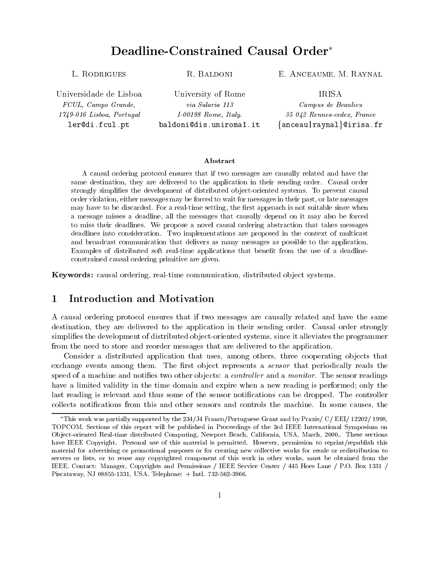# Deadline-Constrained Causal Order

R. Baldoni

Universidade de Lisboa FCUL, Campo Grande, 1749-016 Lisboa, Portugal ler@di.fcul.pt

University of Rome via Salaria 113I-00198 Rome, Italy.baldoni@dis.uniroma1.it

## E. Anceaume, M. Raynal

IRISA Campus de Beaulieu35 042 Rennes-cedex, France $\{anceau|raynal\}$ @irisa.fr

### Abstract

A causal ordering protocol ensures that if two messages are causally related and have the same destination, they are delivered to the application in their sending order. Causal order strongly simplifies the development of distributed object-oriented systems. To prevent causal order violation, either messages may be forced to wait for messages in their past, or late messages may have to be discarded. For a real-time setting, the first approach is not suitable since when a message misses a deadline, all the messages that causally depend on it may also be forced to miss their deadlines. We propose a novel causal ordering abstraction that takes messages deadlines into consideration. Two implementations are proposed in the context of multicast and broadcast communication that delivers as many messages as possible to the application. Examples of distributed soft real-time applications that benet from the use of a deadlineconstrained causal ordering primitive are given.

Keywords: causal ordering, real-time communication, distributed ob ject systems.

### 1 Introduction and Motivation 1

A causal ordering protocol ensures that if two messages are causally related and have the same destination, they are delivered to the application in their sending order. Causal order strongly simplifies the development of distributed object-oriented systems, since it alleviates the programmer from the need to store and reorder messages that are delivered to the application.

Consider a distributed application that uses, among others, three cooperating objects that exchange events among them. The first object represents a *sensor* that periodically reads the speed of a machine and notifies two other objects: a *controller* and a *monitor*. The sensor readings have a limited validity in the time domain and expire when a new reading is performed; only the last reading is relevant and thus some of the sensor notifications can be dropped. The controller collects notications from this and other sensors and controls the machine. In some causes, the

This work was partially supported by the  $234/J4$  Franco/Portuguese Grant and by Praxis/  $C/$  EEI/ 12202/ 1998, TOPCOM. Sections of this report will be published in Proceedings of the 3rd IEEE International Symposium on Ob ject-oriented Real-time distributed Computing, Newport Beach, California, USA, March, 2000.. These sections have IEEE Copyright. Personal use of this material is permitted. However, permission to reprint/republish this material for advertising or promotional purposes or for creating new collective works for resale or redistribution to servers or lists, or to reuse any copyrighted component of this work in other works, must be obtained from the IEEE. Contact: Manager, Copyrights and Permissions / IEEE Service Center / 445 Hoes Lane / P.O. Box 1331 / Piscataway, NJ 08855-1331, USA. Telephone: + Intl. 732-562-3966.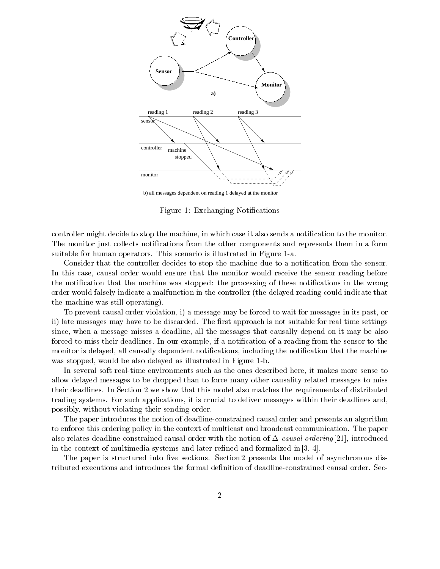

b) all messages dependent on reading 1 delayed at the monitor

Figure 1: Exchanging Notifications

controller might decide to stop the machine, in which case it also sends a notification to the monitor. The monitor just collects notifications from the other components and represents them in a form suitable for human operators. This scenario is illustrated in Figure 1-a.

Consider that the controller decides to stop the machine due to a notification from the sensor. In this case, causal order would ensure that the monitor would receive the sensor reading before the notification that the machine was stopped: the processing of these notifications in the wrong order would falsely indicate a malfunction in the controller (the delayed reading could indicate that the machine was still operating).

To prevent causal order violation, i) a message may be forced to wait for messages in its past, or ii) late messages may have to be discarded. The first approach is not suitable for real time settings since, when a message misses a deadline, all the messages that causally depend on it may be also forced to miss their deadlines. In our example, if a notification of a reading from the sensor to the monitor is delayed, all causally dependent notifications, including the notification that the machine was stopped, would be also delayed as illustrated in Figure 1-b.

In several soft real-time environments such as the ones described here, it makes more sense to allow delayed messages to be dropped than to force many other causality related messages to miss their deadlines. In Section 2 we show that this model also matches the requirements of distributed trading systems. For such applications, it is crucial to deliver messages within their deadlines and, possibly, without violating their sending order.

The paper introduces the notion of deadline-constrained causal order and presents an algorithm to enforce this ordering policy in the context of multicast and broadcast communication. The paper also relates deadline-constrained causal order with the notion of  $\Delta$ -causal ordering [21], introduced in the context of multimedia systems and later refined and formalized in  $[3, 4]$ .

The paper is structured into five sections. Section 2 presents the model of asynchronous distributed executions and introduces the formal denition of deadline-constrained causal order. Sec-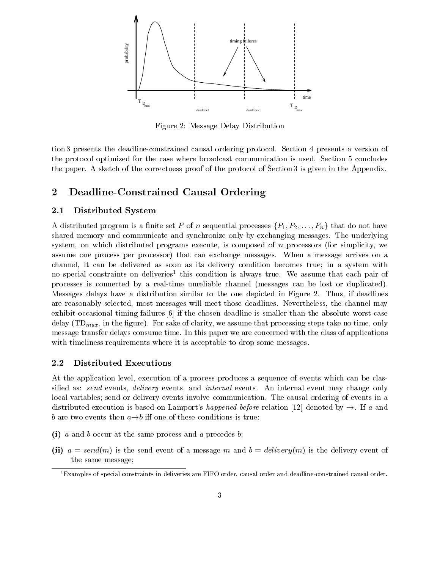

Figure 2: Message Delay Distribution

tion 3 presents the deadline-constrained causal ordering protocol. Section 4 presents a version of the protocol optimized for the case where broadcast communication is used. Section 5 concludes the paper. A sketch of the correctness proof of the protocol of Section 3 is given in the Appendix.

### Deadline-Constrained Causal Ordering  $\bf{2}$

### 2.1Distributed System

A distributed program is a finite set P of n sequential processes  $\{P_1, P_2, \ldots, P_n\}$  that do not have shared memory and communicate and synchronize only by exchanging messages. The underlying system, on which distributed programs execute, is composed of  $n$  processors (for simplicity, we assume one process per processor) that can exchange messages. When a message arrives on a channel, it can be delivered as soon as its delivery condition becomes true; in a system with no special constraints on deliveries<sup>-</sup> this condition is always true. We assume that each pair of processes is connected by a real-time unreliable channel (messages can be lost or duplicated). Messages delays have a distribution similar to the one depicted in Figure 2.Thus, if deadlines are reasonably selected, most messages will meet those deadlines. Nevertheless, the channel may exhibit occasional timing-failures [6] if the chosen deadline is smaller than the absolute worst-case delay  $(TD_{max},$  in the figure). For sake of clarity, we assume that processing steps take no time, only message transfer delays consume time. In this paper we are concerned with the class of applications with timeliness requirements where it is acceptable to drop some messages.

### 2.2Distributed Executions

At the application level, execution of a process produces a sequence of events which can be classified as: send events, delivery events, and internal events. An internal event may change only local variables; send or delivery events involve communication. The causal ordering of events in a distributed execution is based on Lamport's happened-before relation [12] denoted by  $\rightarrow$ . If a and b are two events then  $a \rightarrow b$  iff one of these conditions is true:

- $\mathbf{y}$  a and b occur at the same process and a process b;
- (ii) a send of a message message message m and b  $\alpha$  message message model b  $\alpha$  and delivery event of the same message;

 $1<sup>1</sup>$ Examples of special constraints in deliveries are FIFO order, causal order and deadline-constrained causal order.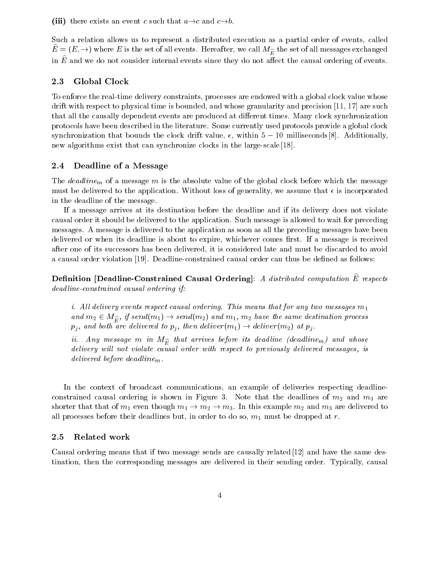### (iii) there exists an event c such that  $a \rightarrow c$  and  $c \rightarrow b$ .

Such a relation allows us to represent a distributed execution as a partial order of events, called  $\hat{E} = (E, \rightarrow)$  where E is the set of all events. Hereafter, we call  $M_{\widehat{E}}$  the set of all messages exchanged in  $E$  and we do not consider internal events since they do not anect the causal ordering of events.  $\blacksquare$ 

### 2.3Global Clock

To enforce the real-time delivery constraints, processes are endowed with a global clock value whose drift with respect to physical time is bounded, and whose granularity and precision [11, 17] are such that all the causally dependent events are produced at different times. Many clock synchronization protocols have been described in the literature. Some currently used protocols provide a global clock synchronization that bounds the clock drift value,  $\epsilon$ , within  $5 - 10$  milliseconds [8]. Additionally, new algorithms exist that can synchronize clocks in the large-scale [18].

### 2.4Deadline of a Message

The *deadline<sub>m</sub>* of a message m is the absolute value of the global clock before which the message must be delivered to the application. Without loss of generality, we assume that  $\epsilon$  is incorporated in the deadline of the message.

If a message arrives at its destination before the deadline and if its delivery does not violate causal order it should be delivered to the application. Such message is allowed to wait for preceding messages. A message is delivered to the application as soon as all the preceding messages have been delivered or when its deadline is about to expire, whichever comes first. If a message is received after one of its successors has been delivered, it is considered late and must be discarded to avoid a causal order violation [19]. Deadline-constrained causal order can thus be dened as follows:

 $D$ enintion [Deadline-Constrained Causal Ordering]: A astributed computation E respects deadline-constrained causal ordering if:

i. All delivery events respect causal ordering. This means that for any two messages  $m_1$ and  $m_2 \in M_{\widehat{F}}$ , if send $(m_1) \to send(m_2)$  and  $m_1$ ,  $m_2$  have the same destination process  $p_j$ , and both are delivered to  $p_j$ , then deliver $(m_1) \rightarrow$  deliver $(m_2)$  at  $p_j$ .

ii. Any message m in  $M_{\hat{F}}$  that arrives before its deadline (deadline<sub>m</sub>) and whose delivery will not violate causal order with respect to previously delivered messages, is delivered before deadlinem.

In the context of broadcast communications, an example of deliveries respecting deadlineconstrained causal ordering is shown in Figure 3. Note that the deadlines of  $m_2$  and  $m_3$  are shorter that that of  $m_1$  even though  $m_1 \to m_2 \to m_3$ . In this example  $m_2$  and  $m_3$  are delivered to all processes before their deadlines but, in order to do so,  $m_1$  must be dropped at r.

### 2.5Related work

Causal ordering means that if two message sends are causally related [12] and have the same destination, then the corresponding messages are delivered in their sending order. Typically, causal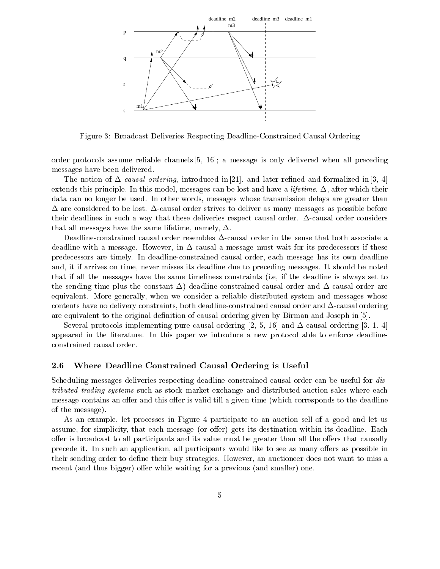

Figure 3: Broadcast Deliveries Respecting Deadline-Constrained Causal Ordering

order protocols assume reliable channels [5, 16]; a message is only delivered when all preceding messages have been delivered.

The notion of  $\Delta$ -causal ordering, introduced in [21], and later refined and formalized in [3, 4] extends this principle. In this model, messages can be lost and have a *lifetime*,  $\Delta$ , after which their data can no longer be used. In other words, messages whose transmission delays are greater than  $\Delta$  are considered to be lost.  $\Delta$ -causal order strives to deliver as many messages as possible before their deadlines in such a way that these deliveries respect causal order.  $\Delta$ -causal order considers that all messages have the same lifetime, namely,  $\Delta$ .

Deadline-constrained causal order resembles  $\Delta$ -causal order in the sense that both associate a deadline with a message. However, in  $\Delta$ -causal a message must wait for its predecessors if these predecessors are timely. In deadline-constrained causal order, each message has its own deadline and, it if arrives on time, never misses its deadline due to preceding messages. It should be noted that if all the messages have the same timeliness constraints (i.e, if the deadline is always set to the sending time plus the constant  $\Delta$ ) deadline-constrained causal order and  $\Delta$ -causal order are equivalent. More generally, when we consider a reliable distributed system and messages whose contents have no delivery constraints, both deadline-constrained causal order and  $\Delta$ -causal ordering are equivalent to the original definition of causal ordering given by Birman and Joseph in  $[5]$ .

Several protocols implementing pure causal ordering [2, 5, 16] and  $\Delta$ -causal ordering [3, 1, 4] appeared in the literature. In this paper we introduce a new protocol able to enforce deadlineconstrained causal order.

### 2.6Where Deadline Constrained Causal Ordering is Useful

Scheduling messages deliveries respecting deadline constrained causal order can be useful for distributed trading systems such as stock market exchange and distributed auction sales where each message contains an offer and this offer is valid till a given time (which corresponds to the deadline of the message).

As an example, let processes in Figure 4 participate to an auction sell of a good and let us assume, for simplicity, that each message (or offer) gets its destination within its deadline. Each offer is broadcast to all participants and its value must be greater than all the offers that causally precede it. In such an application, all participants would like to see as many offers as possible in their sending order to define their buy strategies. However, an auctioneer does not want to miss a recent (and thus bigger) offer while waiting for a previous (and smaller) one.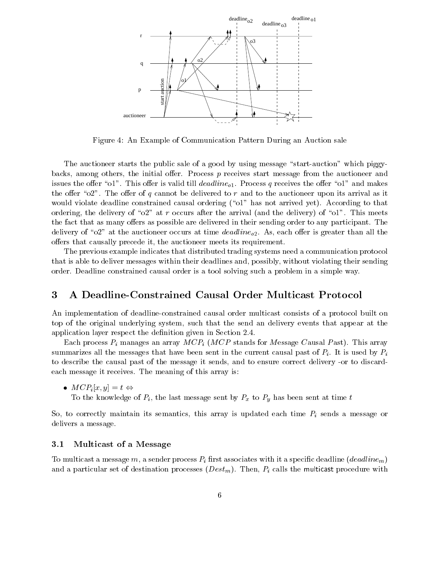

Figure 4: An Example of Communication Pattern During an Auction sale

The auctioneer starts the public sale of a good by using message "start-auction" which piggybacks, among others, the initial offer. Process  $p$  receives start message from the auctioneer and issues the offer "o1". This offer is valid till deadline<sub>01</sub>. Process q receives the offer "o1" and makes the offer " $02$ ". The offer of q cannot be delivered to r and to the auctioneer upon its arrival as it would violate deadline constrained causal ordering  $(\text{``o1''}$  has not arrived yet). According to that ordering, the delivery of " $o2$ " at r occurs after the arrival (and the delivery) of " $o1$ ". This meets the fact that as many offers as possible are delivered in their sending order to any participant. The delivery of " $02$ " at the auctioneer occurs at time *deadline*<sub>02</sub>. As, each offer is greater than all the offers that causally precede it, the auctioneer meets its requirement.

The previous example indicates that distributed trading systems need a communication protocol that is able to deliver messages within their deadlines and, possibly, without violating their sending order. Deadline constrained causal order is a tool solving such a problem in a simple way.

## 3 A Deadline-Constrained Causal Order Multicast Protocol

An implementation of deadline-constrained causal order multicast consists of a protocol built on top of the original underlying system, such that the send an delivery events that appear at the application layer respect the definition given in Section 2.4.

Each process  $P_i$  manages an array  $MCP_i$  (MCP stands for Message Causal Past). This array summarizes all the messages that have been sent in the current causal past of  $P_i$ . It is used by  $P_i$ to describe the causal past of the message it sends, and to ensure correct delivery -or to discardeach message it receives. The meaning of this array is:

 $\bullet \,\, MCP_i|x,y| = t \Leftrightarrow$ 

To the knowledge of  $P_i$ , the last message sent by  $P_x$  to  $P_y$  has been sent at time t

So, to correctly maintain its semantics, this array is updated each time  $P_i$  sends a message or delivers a message.

### 3.1Multicast of <sup>a</sup> Message

To multicast a message m, a sender process  $P_i$  first associates with it a specific deadline (deadlinem) and a particular set of destination processes  $(Dest_m)$ . Then,  $P_i$  calls the multicast procedure with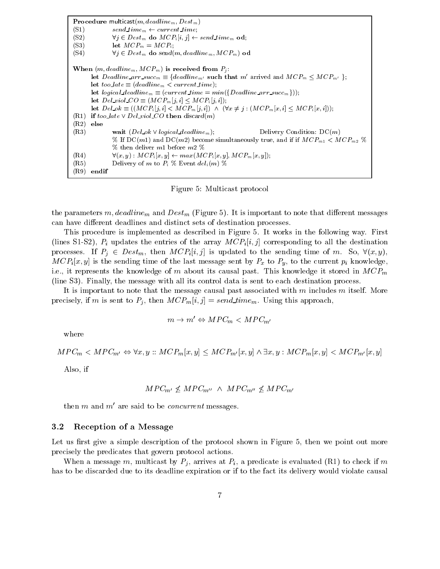**Procedure multicast** $(m, deadline_m, Dest_m)$ (S1) send time<sub>m</sub>  $\leftarrow$  current time; (S2)  $\forall j \in Dest_m \textbf{ do } MCP_i[i,j] \leftarrow send\_time_m \textbf{ od};$ (S3) let  $MCP_m = MCP_i$ ; (S4)  $\forall j \in Dest_m$  do send(m, deadline<sub>m</sub>,  $MCP_m$ ) od When  $(m, deadline_m, MCP_m)$  is received from  $P_i$ : let  $Deadline\_arr\_succ_m \equiv \{deadline_{m'} \text{ such that } m' \text{ arrived and } MCP_m \leq MCP_{m'} \};$ let too late  $\equiv$  (deadline<sub>m</sub>  $\lt$  current time); let logical deadline<sub>m</sub>  $\equiv$  (current time  $=$  min({Deadline\_arr\_succ<sub>m</sub>})); let  $Del\_viol\_CO \equiv (MCP_m[j, i] \leq MCP_i[j, i])$ ; let  $Del\_\_{ok} \equiv ((MCP_i [j, i] < MCP_m [j, i]) \land (\forall x \neq j : (MCP_m [x, i] \leq MCP_i [x, i]))$ ; (R1) if too late  $\vee$  Del\_viol CO then discard(m) (R2) else (R3) wait  $(Del\_ok \vee logical\_deadline_m);$  Delivery Condition: DC(m) % If DC(m1) and DC(m2) become simultaneously true, and if if  $MCP_{m1} < MCP_{m2}$  %  $%$  then deliver m1 before m2  $%$  $(R4) \qquad \qquad \forall (x, y) : MCP_i [x, y] \leftarrow max(MCP_i [x, y], MCP_m [x, y]);$ (R5) Delivery of m to  $P_i$  % Event  $del_i(m)$  % (R9) endif

Figure 5: Multicast protocol

the parameters  $m, deadline_m$  and  $Dest_m$  (Figure 5). It is important to note that different messages can have different deadlines and distinct sets of destination processes.

This procedure is implemented asdescribed in Figure 5. It works in the following way. First (lines S1-S2),  $P_i$  updates the entries of the array  $MCP_i[i, j]$  corresponding to all the destination processes. If  $P_i \in Dest_m$ , then  $MCP_i[i, j]$  is updated to the sending time of m. So,  $\forall (x, y)$ ,  $MCP_i[x, y]$  is the sending time of the last message sent by  $P_x$  to  $P_y$ , to the current  $p_i$  knowledge, i.e., it represents the knowledge of m about its causal past. This knowledge it stored in  $MCP_m$ (line S3). Finally, the message with all its control data is sent to each destination process.

It is important to note that the message causal past associated with  $m$  includes  $m$  itself. More precisely, if m is sent to  $P_i$ , then  $MCP_m[i, j] = send\_time_m$ . Using this approach,

$$
m \to m' \Leftrightarrow MPC_m < MPC_{m'}
$$

where

$$
MPC_m < MPC_{m'} \Leftrightarrow \forall x, y :: MCP_m[x, y] \le MCP_{m'}[x, y] \land \exists x, y : MCP_m[x, y] < MCP_{m'}[x, y]
$$

Also, if

$$
MPC_{m'} \nleq MPC_{m''} \wedge MPC_{m''} \nleq MPC_{m'}
$$

then m and  $m'$  are said to be *concurrent* messages.

#### 3.2Reception of <sup>a</sup> Message

Let us first give a simple description of the protocol shown in Figure 5, then we point out more precisely the predicates that govern protocol actions.

When a message m, multicast by  $P_i$ , arrives at  $P_i$ , a predicate is evaluated (R1) to check if m has to be discarded due to its deadline expiration or if to the fact its delivery would violate causal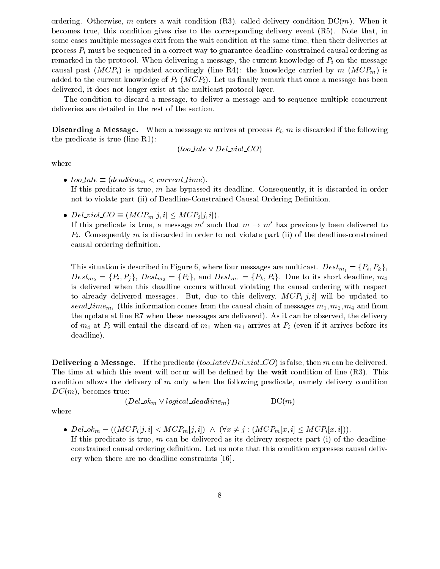ordering. Otherwise, m enters a wait condition  $(R3)$ , called delivery condition  $DC(m)$ . When it becomes true, this condition gives rise to the corresponding delivery event (R5). Note that, in some cases multiple messages exit from the wait condition at the same time, then their deliveries at process  $P_i$  must be sequenced in a correct way to guarantee deadline-constrained causal ordering as remarked in the protocol. When delivering a message, the current knowledge of  $P_i$  on the message causal past  $(MCP_i)$  is updated accordingly (line R4): the knowledge carried by m  $(MCP_m)$  is added to the current knowledge of  $P_i$  ( $MCP_i$ ). Let us finally remark that once a message has been delivered, it does not longer exist at the multicast protocol layer.

The condition to discard a message, to deliver a message and to sequence multiple concurrent deliveries are detailed in the rest of the section.

**Discarding a Message.** When a message m arrives at process  $P_i$ , m is discarded if the following the predicate is true (line R1):

$$
(too\_late \vee Del\_viol\_CO)
$$

where

- $\bullet$  too\_late  $\equiv$  (deadline<sub>m</sub>  $<$  current\_time). If this predicate is true,  $m$  has bypassed its deadline. Consequently, it is discarded in order not to violate part (ii) of Deadline-Constrained Causal Ordering Definition.
- Del\_viol\_CO  $\equiv (MCP_m|j,i] \leq MCP_i|j,i|$ .

If this predicate is true, a message m' such that  $m \to m'$  has previously been delivered to  $P_i$ . Consequently m is discarded in order to not violate part (ii) of the deadline-constrained causal ordering definition.

This situation is described in Figure 6, where four messages are multicast.  $Dest_{m_1} = \{P_i, P_k\},\$  $Dest_{m_2} = \{P_i, P_j\}, \ Dest_{m_3} = \{P_i\}, \text{ and } Dest_{m_4} = \{P_k, P_i\}.$  Due to its short deadline,  $m_4$ is delivered when this deadline occurs without violating the causal ordering with respect to already delivered messages. But, due to this delivery,  $MCP_i[j, i]$  will be updated to  $s_{CHa\_time}$   $m_1$  (this information comes from the causal chain of messages  $m_1, m_2, m_4$  and from the update at line R7 when these messages are delivered). As it can be observed, the delivery of  $m_4$  at  $P_i$  will entail the discard of  $m_1$  when  $m_1$  arrives at  $P_i$  (even if it arrives before its deadline).

**Delivering a Message.** If the predicate (too *late*  $\vee$  *Del viol* CO) is false, then m can be delivered. The time at which this event will occur will be defined by the **wait** condition of line (R3). This condition allows the delivery of <sup>m</sup> only when the following predicate, namely delivery condition  $DC(m)$ , becomes true:

 $(Del\_ok_m \vee logical\_deadline_m)$  DC(*m*)

where

•  $Del\_ok_m \equiv ((MCP_i [j, i] < MCP_m [j, i]) \wedge (\forall x \neq j : (MCP_m [x, i] \leq MCP_i [x, i])).$ 

If this predicate is true, m can be delivered as its delivery respects part (i) of the deadlineconstrained causal ordering definition. Let us note that this condition expresses causal delivery when there are no deadline constraints [16].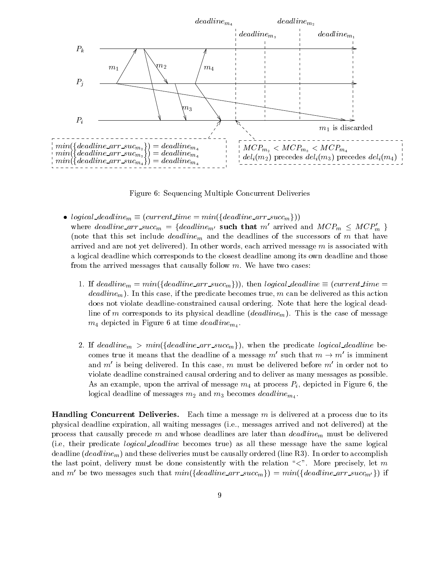

Figure 6: Sequencing Multiple Concurrent Deliveries

- logical deadline $m \equiv (current\_time = min(\{deadline\_arr\_succ_m\}))$
- where deadline arr succ<sub>m</sub> = {deadline<sub>m'</sub> such that m' arrived and  $MCP_m \leq MCP_m$ } (note that this set include  $deadline_m$  and the deadlines of the successors of m that have arrived and are not yet delivered). In other words, each arrived message  $m$  is associated with a logical deadline which corresponds to the closest deadline among its own deadline and those from the arrived messages that causally follow  $m$ . We have two cases:
	- 1. If deadline<sub>m</sub> =  $min({\lbrace deadline\_arr\_succ_m \rbrace})$ , then logical deadline  $\equiv (current\_time =$ deadline<sub>m</sub>). In this case, if the predicate becomes true, m can be delivered as this action does not violate deadline-constrained causal ordering. Note that here the logical deadline of m corresponds to its physical deadline  $(deadline_m)$ . This is the case of message  $m_4$  depicted in Figure 6 at time *deadline*<sub>m<sub>4</sub>.</sub>
	- 2. If deadline<sub>m</sub> > min({deadline\_arr\_succ<sub>m</sub>}), when the predicate logical\_deadline becomes true it means that the deadline of a message  $m'$  such that  $m \to m'$  is imminent and  $m'$  is being delivered. In this case, m must be delivered before  $m'$  in order not to violate deadline constrained causal ordering and to deliver as many messages as possible. As an example, upon the arrival of message  $m_4$  at process  $P_i$ , depicted in Figure 6, the  $\sim$  0.000 m such and masses deadlines and m3 becomes deadline  $m_{4}$  .

Handling Concurrent Deliveries. Each time a message <sup>m</sup> is delivered at a process due to its physical deadline expiration, all waiting messages (i.e., messages arrived and not delivered) at the process that causally precede m and whose deadlines are later than  $deadline_m$  must be delivered (i.e, their predicate logical deadline becomes true) as all these message have the same logical deadline (*deadline<sub>m</sub>*) and these deliveries must be causally ordered (line R3). In order to accomplish the last point, delivery must be done consistently with the relation " $\lt$ ". More precisely, let m and m' be two messages such that  $min({\lbrace deadline\_arr\_succ_m \rbrace}) = min({\lbrace deadline\_arr\_succ_{m'} \rbrace})$  if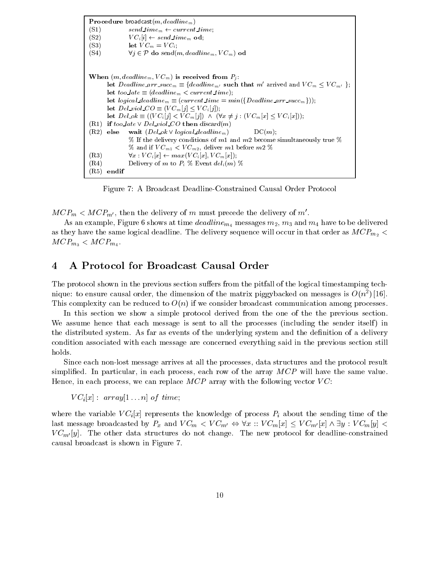Procedure broadcast $(m, deadline_m)$ (S1)  $send_time_m \leftarrow current_time;$ (S2)  $VC<sub>i</sub>[i] \leftarrow send_time<sub>m</sub> od;$ (S3) let  $VC_m = VC_i$ ; (S4)  $\forall j \in \mathcal{P}$  do send(m, deadline<sub>m</sub>,  $VC_m$ ) od When  $(m, deadline_m, VC_m)$  is received from  $P_i$ : let Deadline\_arr\_succ<sub>m</sub>  $\equiv$  {deadline<sub>m'</sub> such that m' arrived and  $VC_m \leq VC_{m'}$ }; let too late  $\equiv$  (deadline<sub>m</sub>  $\lt$  current time); let logical deadline<sub>m</sub>  $\equiv$  (current time  $= min({De}a$ dline arr succ<sub>m</sub>})); let  $Del\_viol\_CO \equiv (VC_m[j] \le VC_i[j]);$ let  $Del\_ok \equiv ((VC_i[j] < VC_m[j]) \ \wedge \ (\forall x \neq j : (VC_m[x] \leq VC_i[x]))$ ; (R1) if too late  $\vee$  Del\_viol\_CO then discard(m) (R2) else wait  $(Del \ ok \ V \ logical \ deadline_m)$  DC(m); % If the delivery conditions of m1 and m2 become simultaneously true  $%$ % and if  $VC_{m1}$  <  $VC_{m2}$ , deliver m1 before m2 % (R3)  $\forall x : VC_i[x] \leftarrow max(VC_i[x], VC_m[x]);$ (R4) Delivery of m to  $P_i$  % Event  $del_i(m)$  % (R5) endif

Figure 7: A Broadcast Deadline-Constrained Causal Order Protocol

 $MCP_m < MCP_{m'}$ , then the delivery of m must precede the delivery of m'.

As an example, Figure 6 shows at time  $deadline_{m_4}$  messages  $m_2$ ,  $m_3$  and  $m_4$  have to be delivered as they have the same logical deadline. The delivery sequence will occur in that order as  $MCP_{m2}$  <  $MCP_{m_3} < MCP_{m_4}.$ 

### $\overline{4}$ 4 A Protocol for Broadcast Causal Order

The protocol shown in the previous section suffers from the pitfall of the logical timestamping techmque: to ensure causal order, the dimension of the matrix piggybacked on messages is  $O(n^2/140)$ . This complexity can be reduced to  $O(n)$  if we consider broadcast communication among processes.

In this section we show a simple protocol derived from the one of the the previous section. We assume hence that each message is sent to all the processes (including the sender itself) in the distributed system. As far as events of the underlying system and the definition of a delivery condition associated with each message are concerned everything said in the previous section still holds.

Since each non-lost message arrives at all the processes, data structures and the protocol result simplified. In particular, in each process, each row of the array  $MCP$  will have the same value. Hence, in each process, we can replace  $MCP$  array with the following vector  $VC$ :

 $VC_i[x] : array[1...n]$  of time;

where the variable  $VC<sub>i</sub>[x]$  represents the knowledge of process  $P<sub>i</sub>$  about the sending time of the last message broadcasted by  $P_x$  and  $VC_m < VC_{m'} \Leftrightarrow \forall x :: VC_m[x] \le VC_{m'}[x] \wedge \exists y : VC_m[y] <$  $VC_{m'}[y]$ . The other data structures do not change. The new protocol for deadline-constrained causal broadcast is shown in Figure 7.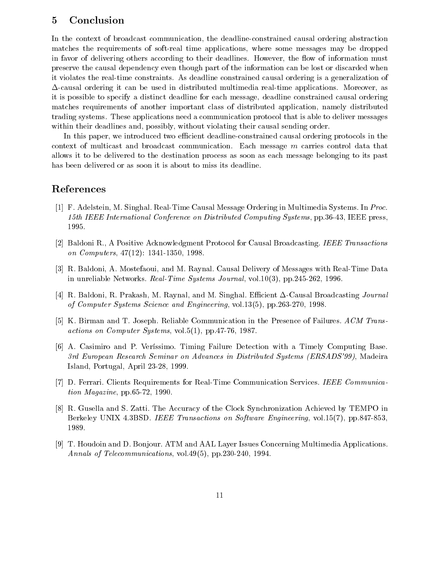### **Conclusion**  $\overline{5}$

In the context of broadcast communication, the deadline-constrained causal ordering abstraction matches the requirements of soft-real time applications, where some messages may be dropped in favor of delivering others according to their deadlines. However, the flow of information must preserve the causal dependency even though part of the information can be lost or discarded when it violates the real-time constraints. As deadline constrained causal ordering is a generalization of  $\Delta$ -causal ordering it can be used in distributed multimedia real-time applications. Moreover, as it is possible to specify a distinct deadline for each message, deadline constrained causal ordering matches requirements of another important class of distributed application, namely distributed trading systems. These applications need a communication protocol that is able to deliver messages within their deadlines and, possibly, without violating their causal sending order.

In this paper, we introduced two efficient deadline-constrained causal ordering protocols in the context of multicast and broadcast communication. Each message <sup>m</sup> carries control data that allows it to be delivered to the destination process as soon as each message belonging to its past has been delivered or as soon it is about to miss its deadline.

## References

- [1] F. Adelstein, M. Singhal. Real-Time Causal Message Ordering in Multimedia Systems. In Proc. 15th IEEE International Conference on Distributed Computing Systems, pp.36-43, IEEE press, 1995.
- [2] Baldoni R., A Positive Acknowledgment Protocol for Causal Broadcasting. IEEE Transactions on Computers, 47(12): 1341-1350, 1998.
- [3] R. Baldoni, A. Mostefaoui, and M. Raynal. Causal Delivery of Messages with Real-Time Data in unreliable Networks. Real-Time Systems Journal, vol.10(3), pp.245-262, 1996.
- [4] R. Baldoni, R. Prakash, M. Raynal, and M. Singhal. Efficient  $\Delta$ -Causal Broadcasting Journal of Computer Systems Science and Engineering, vol.13(5), pp.263-270, 1998.
- [5] K. Birman and T. Joseph. Reliable Communication in the Presence of Failures. ACM Transactions on Computer Systems, vol.5(1), pp.47-76, 1987.
- [6] A. Casimiro and P. Verissimo. Timing Failure Detection with a Timely Computing Base. 3rd European Research Seminar on Advances in Distributed Systems (ERSADS'99), Madeira Island, Portugal, April 23-28, 1999.
- [7] D. Ferrari. Clients Requirements for Real-Time Communication Services. IEEE Communication Magazine, pp.65-72, 1990.
- [8] R. Gusella and S. Zatti. The Accuracy of the Clock Synchronization Achieved by TEMPO in Berkeley UNIX 4.3BSD. IEEE Transactions on Software Engineering, vol.15(7), pp.847-853, 1989.
- [9] T. Houdoin and D. Bonjour. ATM and AAL Layer Issues Concerning Multimedia Applications. Annals of Telecommunications, vol.49(5), pp.230-240, 1994.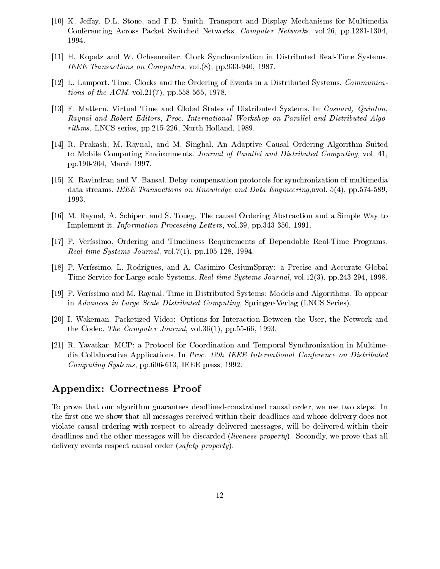- [10] K. Jeffay, D.L. Stone, and F.D. Smith. Transport and Display Mechanisms for Multimedia Conferencing Across Packet Switched Networks. Computer Networks, vol.26, pp.1281-1304, 1994.
- [11] H. Kopetz and W. Ochsenreiter. Clock Synchronization in Distributed Real-Time Systems. IEEE Transactions on Computers, vol.(8), pp.933-940, 1987.
- [12] L. Lamport. Time, Clocks and the Ordering of Events in a Distributed Systems. Communications of the ACM, vol.21(7), pp.558-565, 1978.
- [13] F. Mattern. Virtual Time and Global States of Distributed Systems. In Cosnard, Quinton, Raynal and Robert Editors, Proc. International Workshop on Parallel and Distributed Algorithms, LNCS series, pp.215-226, North Holland, 1989.
- [14] R. Prakash, M. Raynal, and M. Singhal. An Adaptive Causal Ordering Algorithm Suited to Mobile Computing Environments. Journal of Parallel and Distributed Computing, vol. 41, pp.190-204, March 1997.
- [15] K. Ravindran and V. Bansal. Delay compensation protocols for synchronization of multimedia data streams. IEEE Transactions on Knowledge and Data Engineering, nvol. 5(4), pp.574-589, 1993.
- [16] M. Raynal, A. Schiper, and S. Toueg. The causal Ordering Abstraction and a Simple Way to Implement it. Information Processing Letters, vol.39, pp.343-350, 1991.
- [17] P. Verissimo. Ordering and Timeliness Requirements of Dependable Real-Time Programs. Real-time Systems Journal, vol.  $7(1)$ , pp. 105-128, 1994.
- [18] P. Veríssimo, L. Rodrigues, and A. Casimiro CesiumSpray: a Precise and Accurate Global Time Service for Large-scale Systems. Real-time Systems Journal, vol.12(3), pp.243-294, 1998.
- [19] P. Verssimo and M. Raynal. Time in Distributed Systems: Models and Algorithms. To appear in Advances in Large Scale Distributed Computing, Springer-Verlag (LNCS Series).
- [20] I. Wakeman. Packetized Video: Options for Interaction Between the User, the Network and the Codec. The Computer Journal, vol.36(1), pp.55-66, 1993.
- [21] R. Yavatkar. MCP: a Protocol for Coordination and Temporal Synchronization in Multimedia Collaborative Applications. In Proc. 12th IEEE International Conference on Distributed Computing Systems, pp.606-613, IEEE press, 1992.

## Appendix: Correctness Proof

To prove that our algorithm guarantees deadlined-constrained causal order, we use two steps. In the first one we show that all messages received within their deadlines and whose delivery does not violate causal ordering with respect to already delivered messages, will be delivered within their deadlines and the other messages will be discarded *(liveness property)*. Secondly, we prove that all delivery events respect causal order (safety property).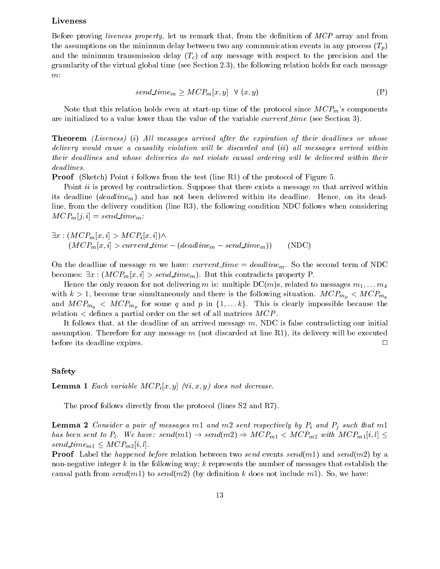## Liveness

Before proving liveness property, let us remark that, from the definition of MCP array and from the assumptions on the minimum delay between two any communication events in any process  $(T_p)$ and the minimum transmission delay  $(T_c)$  of any message with respect to the precision and the granularity of the virtual global time (see Section 2.3), the following relation holds for each message  $m\colon$ 

$$
send\_time_m \ge MCP_m[x, y] \quad \forall \ (x, y)
$$
 (P)

Note that this relation holds even at start-up time of the protocol since  $MCP_m$ 's components are initialized to a value lower than the value of the variable *current time* (see Section 3).

Theorem (Internetal in) Also messages arrived after the expiration of them abaditives or whose the control or whose delivery would cause a causality violation will be discarded and  $(ii)$  all messages arrived within their deadlines and whose deliveries do not violate causal ordering will be delivered within their dead lines.

Proof (Sketch) Point <sup>i</sup> follows from the test (line R1) of the protocol of Figure 5.

Point *ii* is proved by contradiction. Suppose that there exists a message  $m$  that arrived within its deadline  $(deadline<sub>m</sub>)$  and has not been delivered within its deadline. Hence, on its deadline, from the delivery condition (line R3), the following condition NDC follows when considering  $MCP_m[j, i] = send\_time_m$ 

$$
\exists x : (MCP_m[x, i] > MCP_i[x, i]) \land (MCP_m[x, i] > current\_time - (deadline_m - send\_time_m))
$$
(NDC)

On the deadline of message m we have: current time  $= deadline_m$ . So the second term of NDC becomes:  $\exists x : (MCP_m[x, i] > send_time_m)$ . But this contradicts property P.

Hence the only reason for not delivering m is: multiple  $DC(m)$ s, related to messages  $m_1,\ldots m_k$ with  $k > 1$ , become true simultaneously and there is the following situation.  $MCP_{m_n} < MCP_{m_n}$ and  $MCP_{m_q} < MCP_{m_p}$  for some q and p in  $\{1,\ldots k\}$ . This is clearly impossible because the relation  $\lt$  defines a partial order on the set of all matrices  $MCP$ .

It follows that, at the deadline of an arrived message  $m$ , NDC is false contradicting our initial assumption. Therefore for any message  $m$  (not discarded at line R1), its delivery will be executed before its deadline expires. <sup>2</sup>

## Safety

**Lemma 1** Each variable  $MCP_i[x, y]$  ( $\forall i, x, y$ ) does not decrease.

The proof follows directly from the protocol (lines S2 and R7).

 $-$  -------  $-$  consider a pair of messages m1 and m2 sent respectively by Pi and Pj such that m1  $$ has been sent to  $P_l$ . We have: send $(m1) \rightarrow send(m2) \Rightarrow MCP_{m1} < MCP_{m2}$  with  $MCP_{m1}[i,l] \leq$ send\_time<sub>m1</sub>  $\leq MCP_{m2}[i, l].$ 

Proof Label the happened before relation between two send events send(m1) and send(m2) by a non-negative integer k in the following way; k represents the number of messages that establish the causal path from send(m1) to send(m2) (by definition k does not include m1). So, we have: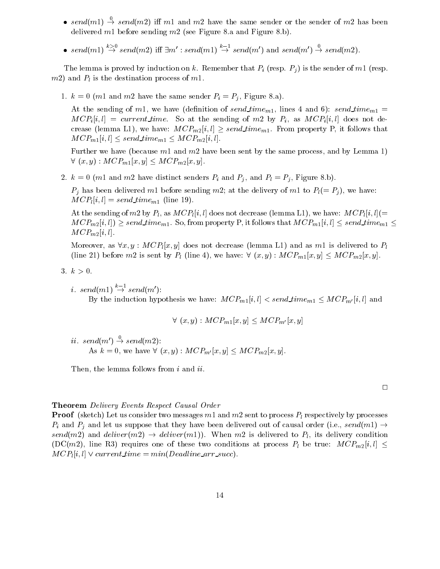- send(m1)  $\rightarrow$  send(m2) if m1 and m2 have the same sender or the sender of m2 has been delivered  $m1$  before sending  $m2$  (see Figure 8.a and Figure 8.b).
- send(m1)  $\stackrel{\sim}{\rightarrow}$  send(m2) iff  $\exists m' : send(m1) \stackrel{\sim}{\rightarrow} send(m')$  and send(m')  $\stackrel{\sim}{\rightarrow} send(m2)$ .

The lemma is proved by induction on k. Remember that  $P_i$  (resp.  $P_j$ ) is the sender of m1 (resp.  $m2$ ) and  $P<sub>l</sub>$  is the destination process of m1.

1.  $k = 0$  (*m*1 and *m*2 have the same sender  $P_i = P_j$ , Figure 8.a).

At the sending of m1, we have (definition of send time<sub>m1</sub>, lines 4 and 6): send time<sub>m1</sub> =  $MCP_i[i, l] = current_time$ . So at the sending of m2 by  $P_i$ , as  $MCP_i[i, l]$  does not decrease (lemma L1), we have:  $MCP_{m2}[i, l] \geq send\_time_{m1}$ . From property P, it follows that  $MCP_{m1}[i, l] \leq send\_time_{m1} \leq MCP_{m2}[i, l].$ 

Further we have (because  $m_1$  and  $m_2$  have been sent by the same process, and by Lemma 1)  $\forall (x, y) : MCP_{m1}[x, y] \leq MCP_{m2}[x, y].$ 

2.  $k = 0$  (m1 and m2 have distinct senders  $P_i$  and  $P_j$ , and  $P_l = P_j$ , Figure 8.b).

 $P_i$  has been delivered m1 before sending m2; at the delivery of m1 to  $P_i(= P_i)$ , we have:  $MCP_l[i, l] = send\_time_{m1}$  (line 19).

At the sending of m2 by  $P_l$ , as  $MCP_l[i, l]$  does not decrease (lemma L1), we have:  $MCP_l[i, l]$  (=  $MCP_{m2}[i, l] \geq send\_time_{m1}$ . So, from property P, it follows that  $MCP_{m1}[i, l] \leq send\_time_{m1} \leq s$  $MCP_{m2}[i, l].$ 

Moreover, as  $\forall x, y : MCP<sub>l</sub>[x, y]$  does not decrease (lemma L1) and as m1 is delivered to  $P<sub>l</sub>$ (line 21) before m2 is sent by  $P_l$  (line 4), we have:  $\forall (x, y) : MCP_{m1}[x, y] \leq MCP_{m2}[x, y]$ .

- 3.  $k > 0$ .
	- i. send(m1)  $\rightarrow$  send(m'): By the induction hypothesis we have:  $MCP_{m1}[i, l] < send\_time_{m1} \leq MCP_{m'}[i, l]$  and

$$
\forall (x, y) : MCP_{m1}[x, y] \leq MCP_{m'}[x, y]
$$

 $\imath\imath. \; send(m') \rightarrow send(m2)$ : As  $k = 0$ , we have  $\forall (x, y) : MCP_{m'}[x, y] \leq MCP_{m2}[x, y]$ .

Then, the lemma follows from *i* and *ii*.

### Theorem Delivery Events Respect Causal Order

Proof (sketch) Let us consider two messages m1 and m2 sent to process Pl respectively by processes  $P_i$  and  $P_j$  and let us suppose that they have been delivered out of causal order (i.e., send(m1)  $\rightarrow$ send(m2) and deliver(m2)  $\rightarrow$  deliver(m1)). When m2 is delivered to  $P_l$ , its delivery condition  $(DC(m2))$ , line R3) requires one of these two conditions at process  $P_l$  be true:  $MCP_{m2}[i, l] \leq$  $MCP_l[i, l] \vee current_time = min(Deadline\_arr\_succ).$